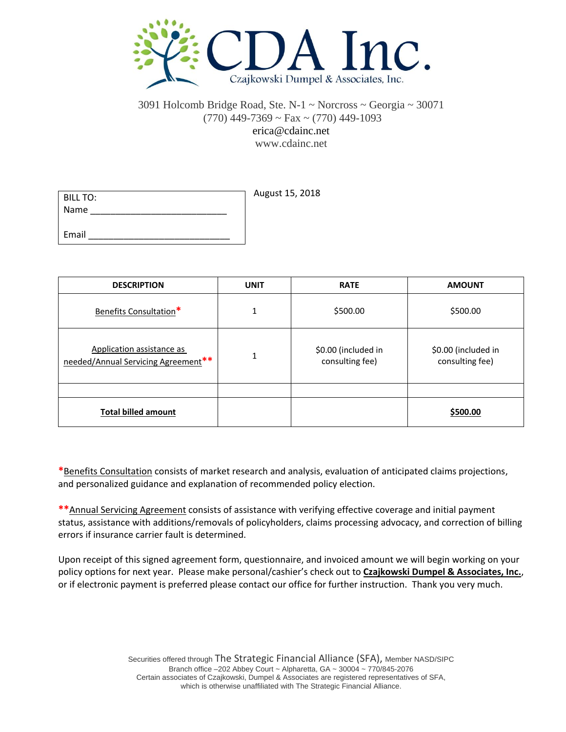

## 3091 Holcomb Bridge Road, Ste. N-1 ~ Norcross ~ Georgia ~ 30071  $(770)$  449-7369 ~ Fax ~  $(770)$  449-1093 erica@cdainc.net www.cdainc.net

| BILL TO: | August 15, 2018 |
|----------|-----------------|
| Name     |                 |
|          |                 |
| Email    |                 |

| <b>DESCRIPTION</b>                                               | <b>UNIT</b> | <b>RATE</b>                            | <b>AMOUNT</b>                          |
|------------------------------------------------------------------|-------------|----------------------------------------|----------------------------------------|
| Benefits Consultation*                                           | 1           | \$500.00                               | \$500.00                               |
| Application assistance as<br>needed/Annual Servicing Agreement** | 1           | \$0.00 (included in<br>consulting fee) | \$0.00 (included in<br>consulting fee) |
|                                                                  |             |                                        |                                        |
| <b>Total billed amount</b>                                       |             |                                        | \$500.00                               |

**\***Benefits Consultation consists of market research and analysis, evaluation of anticipated claims projections, and personalized guidance and explanation of recommended policy election.

**\*\***Annual Servicing Agreement consists of assistance with verifying effective coverage and initial payment status, assistance with additions/removals of policyholders, claims processing advocacy, and correction of billing errors if insurance carrier fault is determined.

Upon receipt of this signed agreement form, questionnaire, and invoiced amount we will begin working on your policy options for next year. Please make personal/cashier's check out to **Czajkowski Dumpel & Associates, Inc.**, or if electronic payment is preferred please contact our office for further instruction. Thank you very much.